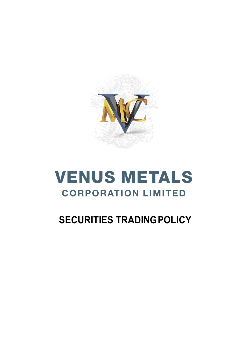

# **VENUS METALS CORPORATION LIMITED**

## **SECURITIES TRADINGPOLICY**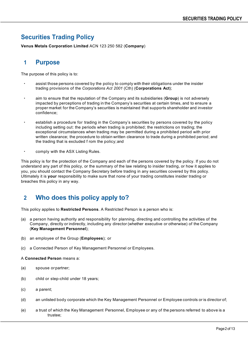## **Securities Trading Policy**

**Venus Metals Corporation Limited** ACN 123 250 582 (**Company**)

#### **1 Purpose**

The purpose of this policy is to:

- assist those persons covered by the policy to comply with their obligations under the insider trading provisions of the *Corporations Act 2001* (Cth) (**Corporations Act**);
- aim to ensure that the reputation of the Company and its subsidiaries (**Group**) is not adversely impacted by perceptions of trading in the Company's securities at certain times, and to ensure a proper market for the Company's securities is maintained that supports shareholder and investor confidence;
- establish a procedure for trading in the Company's securities by persons covered by the policy including setting out: the periods when trading is prohibited; the restrictions on trading; the exceptional circumstances when trading may be permitted during a prohibited period with prior written clearance; the procedure to obtain written clearance to trade during a prohibited period; and the trading that is excluded f rom the policy;and
- comply with the ASX Listing Rules.

This policy is for the protection of the Company and each of the persons covered by the policy. If you do not understand any part of this policy, or the summary of the law relating to insider trading, or how it applies to you, you should contact the Company Secretary before trading in any securities covered by this policy. Ultimately it is **your** responsibility to make sure that none of your trading constitutes insider trading or breaches this policy in any way.

## **2 Who does this policy apply to?**

This policy applies to **Restricted Persons**. A Restricted Person is a person who is:

- (a) a person having authority and responsibility for planning, directing and controlling the activities of the Company, directly or indirectly, including any director (whether executive or otherwise) of the Company (**Key Management Personnel**);
- (b) an employee of the Group (**Employees**); or
- (c) a Connected Person of Key Management Personnel or Employees.

A **Connected Person** means a:

- (a) spouse or partner;
- (b) child or step-child under 18 years;
- (c) a parent;
- (d) an unlisted body corporate which the Key Management Personnel or Employee controls or is director of;
- (e) a trust of which the Key Management Personnel, Employee or any of the persons referred to above is a trustee;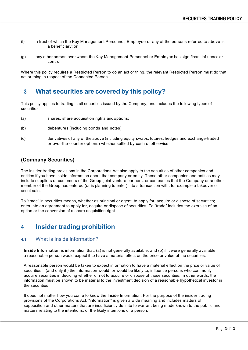- (f) a trust of which the Key Management Personnel, Employee or any of the persons referred to above is a beneficiary; or
- (g) any other person over whom the Key Management Personnel or Employee has significant influence or control.

Where this policy requires a Restricted Person to do an act or thing, the relevant Restricted Person must do that act or thing in respect of the Connected Person.

#### **3 What securities are covered by this policy?**

This policy applies to trading in all securities issued by the Company, and includes the following types of securities:

- (a) shares, share acquisition rights andoptions;
- (b) debentures (including bonds and notes);
- (c) derivatives of any of the above (including equity swaps, futures, hedges and exchange-traded or over-the-counter options) whether settled by cash or otherwise

#### **(Company Securities)**

The insider trading provisions in the Corporations Act also apply to the securities of other companies and entities if you have inside information about that company or entity. These other companies and entities may include suppliers or customers of the Group; joint venture partners; or companies that the Company or another member of the Group has entered (or is planning to enter) into a transaction with, for example a takeover or asset sale.

To "trade" in securities means, whether as principal or agent, to apply for, acquire or dispose of securities; enter into an agreement to apply for, acquire or dispose of securities. To "trade" includes the exercise of an option or the conversion of a share acquisition right.

## **4 Insider trading prohibition**

#### **4.1** What is Inside Information?

**Inside Information** is information that: (a) is not generally available; and (b) if it were generally available, a reasonable person would expect it to have a material effect on the price or value of the securities.

A reasonable person would be taken to expect information to have a material effect on the price or value of securities if (and only if ) the information would, or would be likely to, influence persons who commonly acquire securities in deciding whether or not to acquire or dispose of those securities. In other words, the information must be shown to be material to the investment decision of a reasonable hypothetical investor in the securities.

It does not matter how you come to know the Inside Information. For the purpose of the insider trading provisions of the Corporations Act, "information" is given a wide meaning and includes matters of supposition and other matters that are insufficiently definite to warrant being made known to the pub lic and matters relating to the intentions, or the likely intentions of a person.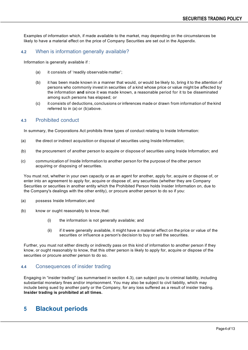Examples of information which, if made available to the market, may depending on the circumstances be likely to have a material effect on the price of Company Securities are set out in the Appendix.

#### **4.2** When is information generally available?

Information is generally available if :

- (a) it consists of 'readily observable matter';
- (b) it has been made known in a manner that would, or would be likely to, bring it to the attention of persons who commonly invest in securities of a kind whose price or value might be affected by the information **and** since it was made known, a reasonable period for it to be disseminated among such persons has elapsed; or
- (c) it consists of deductions, conclusions or inferences made or drawn from information of the kind referred to in (a) or (b)above.

#### **4.3** Prohibited conduct

In summary, the Corporations Act prohibits three types of conduct relating to Inside Information:

- (a) the direct or indirect acquisition or disposal of securities using Inside Information;
- (b) the procurement of another person to acquire or dispose of securities using Inside Information; and
- (c) communication of Inside Information to another person for the purpose of the other person acquiring or disposing of securities.

You must not, whether in your own capacity or as an agent for another, apply for, acquire or dispose of, or enter into an agreement to apply for, acquire or dispose of, any securities (whether they are Company Securities or securities in another entity which the Prohibited Person holds Insider Information on, due to the Company's dealings with the other entity), or procure another person to do so if you:

- (a) possess Inside Information; and
- (b) know or ought reasonably to know, that:
	- (i) the information is not generally available; and
	- (ii) if it were generally available, it might have a material effect on the price or value of the securities or influence a person's decision to buy or sell the securities.

Further, you must not either directly or indirectly pass on this kind of information to another person if they know, or ought reasonably to know, that this other person is likely to apply for, acquire or dispose of the securities or procure another person to do so.

#### **4.4** Consequences of insider trading

Engaging in "insider trading" (as summarised in section 4.3), can subject you to criminal liability, including substantial monetary fines and/or imprisonment. You may also be subject to civil liability, which may include being sued by another party or the Company, for any loss suffered as a result of insider trading. **Insider trading is prohibited at all times.**

#### **5 Blackout periods**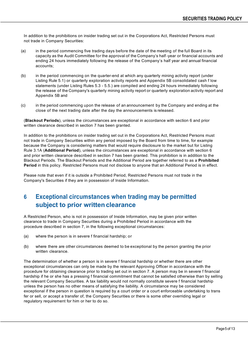In addition to the prohibitions on insider trading set out in the Corporations Act, Restricted Persons must not trade in Company Securities:

- (a) in the period commencing five trading days before the date of the meeting of the full Board in its capacity as the Audit Committee for the approval of the Company's half -year or financial accounts and ending 24 hours immediately following the release of the Company's half year and annual financial accounts;
- (b) in the period commencing on the quarter-end at which any quarterly mining activity report (under Listing Rule 5.1) or quarterly exploration activity reports and Appendix 5B consolidated cash f low statements (under Listing Rules 5.3 - 5.5.) are compiled and ending 24 hours immediately following the release of the Company's quarterly mining activity report or quarterly exploration activity report and Appendix 5B and
- (c) in the period commencing upon the release of an announcement by the Company and ending at the close of the next trading date after the day the announcements is released.

(**Blackout Periods**), unless the circumstances are exceptional in accordance with section 6 and prior written clearance described in section 7 has been granted.

In addition to the prohibitions on insider trading set out in the Corporations Act, Restricted Persons must not trade in Company Securities within any period imposed by the Board from time to time, for example because the Company is considering matters that would require disclosure to the market but for Listing Rule 3.1A (**Additional Period**), unless the circumstances are exceptional in accordance with section 6 and prior written clearance described in section 7 has been granted. This prohibition is in addition to the Blackout Periods. The Blackout Periods and the Additional Period are together referred to as a **Prohibited Period** in this policy. Restricted Persons must not disclose to anyone that an Additional Period is in effect.

Please note that even if it is outside a Prohibited Period, Restricted Persons must not trade in the Company's Securities if they are in possession of Inside Information.

## **6 Exceptional circumstances when trading may be permitted subject to prior written clearance**

A Restricted Person, who is not in possession of Inside Information, may be given prior written clearance to trade in Company Securities during a Prohibited Period in accordance with the procedure described in section 7, in the following exceptional circumstances:

- (a) where the person is in severe f financial hardship; or
- (b) where there are other circumstances deemed to be exceptional by the person granting the prior written clearance.

The determination of whether a person is in severe f financial hardship or whether there are other exceptional circumstances can only be made by the relevant Approving Officer in accordance with the procedure for obtaining clearance prior to trading set out in section 7. A person may be in severe f financial hardship if he or she has a pressing f financial commitment that cannot be satisfied otherwise than by selling the relevant Company Securities. A tax liability would not normally constitute severe f financial hardship unless the person has no other means of satisfying the liability. A circumstance may be considered exceptional if the person in question is required by a court order or a court enforceable undertaking to trans fer or sell, or accept a transfer of, the Company Securities or there is some other overriding legal or regulatory requirement for him or her to do so.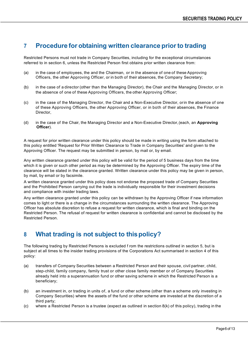#### **7 Procedure for obtaining written clearance priorto trading**

Restricted Persons must not trade in Company Securities, including for the exceptional circumstances referred to in section 6, unless the Restricted Person first obtains prior written clearance from:

- (a) in the case of employees, the and the Chairman, or in the absence of one of these Approving Officers, the other Approving Officer, or in both of their absences, the Company Secretary;
- (b) in the case of a director (other than the Managing Director), the Chair and the Managing Director, or in the absence of one of these Approving Officers, the other Approving Officer;
- (c) in the case of the Managing Director, the Chair and a Non-Executive Director, orin the absence of one of these Approving Officers, the other Approving Officer, or in both of their absences, the Finance Director,
- (d) in the case of the Chair, the Managing Director and a Non-Executive Director,(each, an **Approving Officer**).

A request for prior written clearance under this policy should be made in writing using the form attached to this policy entitled 'Request for Prior Written Clearance to Trade in Company Securities' and given to the Approving Officer. The request may be submitted in person, by mail or, by email.

Any written clearance granted under this policy will be valid for the period of 5 business days from the time which it is given or such other period as may be determined by the Approving Officer. The expiry time of the clearance will be stated in the clearance granted. Written clearance under this policy may be given in person, by mail, by email or by facsimile.

A written clearance granted under this policy does not endorse the proposed trade of Company Securities and the Prohibited Person carrying out the trade is individually responsible for their investment decisions and compliance with insider trading laws.

Any written clearance granted under this policy can be withdrawn by the Approving Officer if new information comes to light or there is a change in the circumstances surrounding the written clearance. The Approving Officer has absolute discretion to refuse a request for written clearance, which is final and binding on the Restricted Person. The refusal of request for written clearance is confidential and cannot be disclosed by the Restricted Person.

## **8 What trading is not subject to thispolicy?**

The following trading by Restricted Persons is excluded f rom the restrictions outlined in section 5, but is subject at all times to the insider trading provisions of the Corporations Act summarised in section 4 of this policy:

- (a) transfers of Company Securities between a Restricted Person and their spouse, civil partner, child, step-child, family company, family trust or other close family member or of Company Securities already held into a superannuation fund or other saving scheme in which the Restricted Person is a beneficiary;
- (b) an investment in, or trading in units of, a fund or other scheme (other than a scheme only investing in Company Securities) where the assets of the fund or other scheme are invested at the discretion of a third party;
- (c) where a Restricted Person is a trustee (expect as outlined in section  $8(k)$  of this policy), trading in the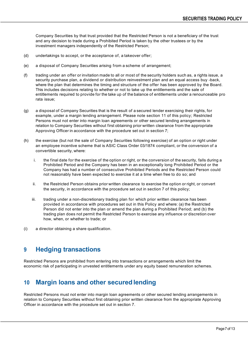Company Securities by that trust provided that the Restricted Person is not a beneficiary of the trust and any decision to trade during a Prohibited Period is taken by the other trustees or by the investment managers independently of the Restricted Person;

- (d) undertakings to accept, or the acceptance of, a takeover offer;
- (e) a disposal of Company Securities arising from a scheme of arrangement;
- (f) trading under an offer or invitation made to all or most of the security holders such as, a rights issue, a security purchase plan, a dividend or distribution reinvestment plan and an equal access buy -back, where the plan that determines the timing and structure of the offer has been approved by the Board. This includes decisions relating to whether or not to take up the entitlements and the sale of entitlements required to provide for the take up of the balance of entitlements under a renounceable pro rata issue;
- (g) a disposal of Company Securities that is the result of a secured lender exercising their rights, for example, under a margin lending arrangement. Please note section 11 of this policy; Restricted Persons must not enter into margin loan agreements or other secured lending arrangements in relation to Company Securities without first obtaining prior written clearance from the appropriate Approving Officer in accordance with the procedure set out in section 7;
- (h) the exercise (but not the sale of Company Securities following exercise) of an option or right under an employee incentive scheme that is ASIC Class Order 03/1874 compliant, or the conversion of a convertible security, where:
	- i. the final date for the exercise of the option or right, or the conversion of the security, falls during a Prohibited Period and the Company has been in an exceptionally long Prohibited Period or the Company has had a number of consecutive Prohibited Periods and the Restricted Person could not reasonably have been expected to exercise it at a time when free to do so; and
	- ii. the Restricted Person obtains prior written clearance to exercise the option or right, or convert the security, in accordance with the procedure set out in section 7 of this policy;
	- iii. trading under a non-discretionary trading plan for which prior written clearance has been provided in accordance with procedures set out in this Policy and where: (a) the Restricted Person did not enter into the plan or amend the plan during a Prohibited Period; and (b) the trading plan does not permit the Restricted Person to exercise any influence or discretion over how, when, or whether to trade; or
- (i) a director obtaining a share qualification.

## **9 Hedging transactions**

Restricted Persons are prohibited from entering into transactions or arrangements which limit the economic risk of participating in unvested entitlements under any equity based remuneration schemes.

## **10 Margin loans and other secured lending**

Restricted Persons must not enter into margin loan agreements or other secured lending arrangements in relation to Company Securities without first obtaining prior written clearance from the appropriate Approving Officer in accordance with the procedure set out in section 7.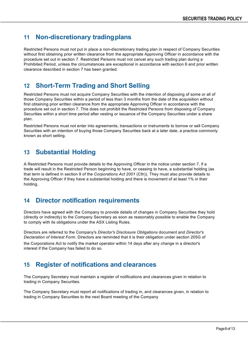## **11 Non-discretionary tradingplans**

Restricted Persons must not put in place a non-discretionary trading plan in respect of Company Securities without first obtaining prior written clearance from the appropriate Approving Officer in accordance with the procedure set out in section 7. Restricted Persons must not cancel any such trading plan during a Prohibited Period, unless the circumstances are exceptional in accordance with section 6 and prior written clearance described in section 7 has been granted.

#### **12 Short-Term Trading and Short Selling**

Restricted Persons must not acquire Company Securities with the intention of disposing of some or all of those Company Securities within a period of less than 3 months from the date of the acquisition without first obtaining prior written clearance from the appropriate Approving Officer in accordance with the procedure set out in section 7. This does not prohibit the Restricted Persons from disposing of Company Securities within a short time period after vesting or issuance of the Company Securities under a share plan.

Restricted Persons must not enter into agreements, transactions or instruments to borrow or sell Company Securities with an intention of buying those Company Securities back at a later date, a practice commonly known as short selling.

#### **13 Substantial Holding**

A Restricted Persons must provide details to the Approving Officer in the notice under section 7, if a trade will result in the Restricted Person beginning to have, or ceasing to have, a substantial holding (as that term is defined in section 9 of the *Corporations Act 2001* (Cth)). They must also provide details to the Approving Officer if they have a substantial holding and there is movement of at least 1% in their holding.

## **14 Director notification requirements**

Directors have agreed with the Company to provide details of changes in Company Securities they hold (directly or indirectly) to the Company Secretary as soon as reasonably possible to enable the Company to comply with its obligations under the ASX Listing Rules.

Directors are referred to the Company's *Director's Disclosure Obligations* document and *Director's Declaration of Interest Form*. Directors are reminded that it is their obligation under section 205G of

the Corporations Act to notify the market operator within 14 days after any change in a director's interest if the Company has failed to do so.

## **15 Register of notifications and clearances**

The Company Secretary must maintain a register of notifications and clearances given in relation to trading in Company Securities.

The Company Secretary must report all notifications of trading in, and clearances given, in relation to trading in Company Securities to the next Board meeting of the Company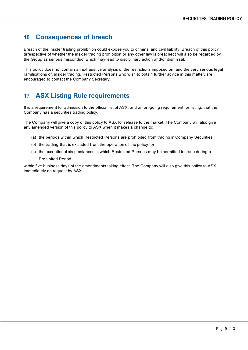#### **16 Consequences of breach**

Breach of the insider trading prohibition could expose you to criminal and civil liability. Breach of this policy (irrespective of whether the insider trading prohibition or any other law is breached) will also be regarded by the Group as serious misconduct which may lead to disciplinary action and/or dismissal.

This policy does not contain an exhaustive analysis of the restrictions imposed on, and the very serious legal ramifications of, insider trading. Restricted Persons who wish to obtain further advice in this matter, are encouraged to contact the Company Secretary.

## **17 ASX Listing Rule requirements**

It is a requirement for admission to the official list of ASX, and an on-going requirement for listing, that the Company has a securities trading policy.

The Company will give a copy of this policy to ASX for release to the market. The Company will also give any amended version of this policy to ASX when it makes a change to:

- (a) the periods within which Restricted Persons are prohibited from trading in Company Securities;
- (b) the trading that is excluded from the operation of the policy; or
- (c) the exceptional circumstances in which Restricted Persons may be permitted to trade during a Prohibited Period,

within five business days of the amendments taking effect. The Company will also give this policy to ASX immediately on request by ASX.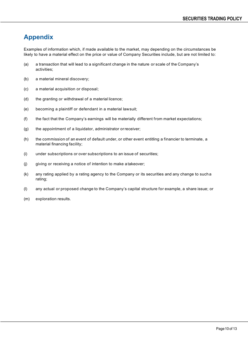## **Appendix**

Examples of information which, if made available to the market, may depending on the circumstances be likely to have a material effect on the price or value of Company Securities include, but are not limited to:

- (a) a transaction that will lead to a significant change in the nature or scale of the Company's activities;
- (b) a material mineral discovery;
- (c) a material acquisition or disposal;
- (d) the granting or withdrawal of a material licence;
- (e) becoming a plaintiff or defendant in a material lawsuit;
- (f) the fact that the Company's earnings will be materially different from market expectations;
- (g) the appointment of a liquidator, administrator orreceiver;
- (h) the commission of an event of default under, or other event entitling a financier to terminate, a material financing facility;
- (i) under subscriptions or over subscriptions to an issue of securities;
- (j) giving or receiving a notice of intention to make a takeover;
- (k) any rating applied by a rating agency to the Company or its securities and any change to such a rating;
- (l) any actual or proposed change to the Company's capital structure for example, a share issue; or
- (m) exploration results.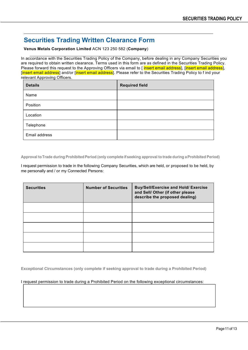#### **Securities Trading Written Clearance Form**

**Venus Metals Corporation Limited** ACN 123 250 582 (**Company**)

In accordance with the Securities Trading Policy of the Company, before dealing in any Company Securities you are required to obtain written clearance. Terms used in this form are as defined in the Securities Trading Policy. Please forward this request to the Approving Officers via email to [ insert email address], [insert email address], [insert email address] and/or [insert email address]. Please refer to the Securities Trading Policy to f ind your relevant Approving Officers.

| <b>Details</b> | <b>Required field</b> |
|----------------|-----------------------|
| Name           |                       |
| Position       |                       |
| Location       |                       |
| Telephone      |                       |
| Email address  |                       |

**Approval toTrade during ProhibitedPeriod (only complete if seeking approval to trade during aProhibited Period)**

I request permission to trade in the following Company Securities, which are held, or proposed to be held, by me personally and / or my Connected Persons:

| <b>Securities</b> | <b>Number of Securities</b> | <b>Buy/Sell/Exercise and Hold/ Exercise</b><br>and Sell/ Other (if other please<br>describe the proposed dealing) |
|-------------------|-----------------------------|-------------------------------------------------------------------------------------------------------------------|
|                   |                             |                                                                                                                   |
|                   |                             |                                                                                                                   |
|                   |                             |                                                                                                                   |
|                   |                             |                                                                                                                   |
|                   |                             |                                                                                                                   |

**Exceptional Circumstances (only complete if seeking approval to trade during a Prohibited Period)**

I request permission to trade during a Prohibited Period on the following exceptional circumstances: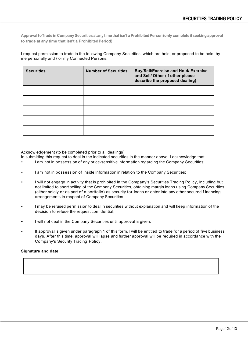**Approval toTrade in Company Securities atany timethatisn't aProhibitedPerson(only complete ifseeking approval to trade at any time that isn't a ProhibitedPeriod)**

I request permission to trade in the following Company Securities, which are held, or proposed to be held, by me personally and / or my Connected Persons:

| <b>Securities</b> | <b>Number of Securities</b> | <b>Buy/Sell/Exercise and Hold/ Exercise</b><br>and Sell/ Other (if other please<br>describe the proposed dealing) |
|-------------------|-----------------------------|-------------------------------------------------------------------------------------------------------------------|
|                   |                             |                                                                                                                   |
|                   |                             |                                                                                                                   |
|                   |                             |                                                                                                                   |
|                   |                             |                                                                                                                   |
|                   |                             |                                                                                                                   |

Acknowledgement (to be completed prior to all dealings)

In submitting this request to deal in the indicated securities in the manner above, I acknowledge that:

- I am not in possession of any price-sensitive information regarding the Company Securities;
- I am not in possession of Inside Information in relation to the Company Securities;
- I will not engage in activity that is prohibited in the Company's Securities Trading Policy, including but not limited to short selling of the Company Securities, obtaining margin loans using Company Securities (either solely or as part of a portfolio) as security for loans or enter into any other secured f inancing arrangements in respect of Company Securities.
- I may be refused permission to deal in securities without explanation and will keep information of the decision to refuse the request confidential;
- I will not deal in the Company Securities until approval is given.
- If approval is given under paragraph 1 of this form, I will be entitled to trade for a period of five business days. After this time, approval will lapse and further approval will be required in accordance with the Company's Security Trading Policy.

#### **Signature and date**